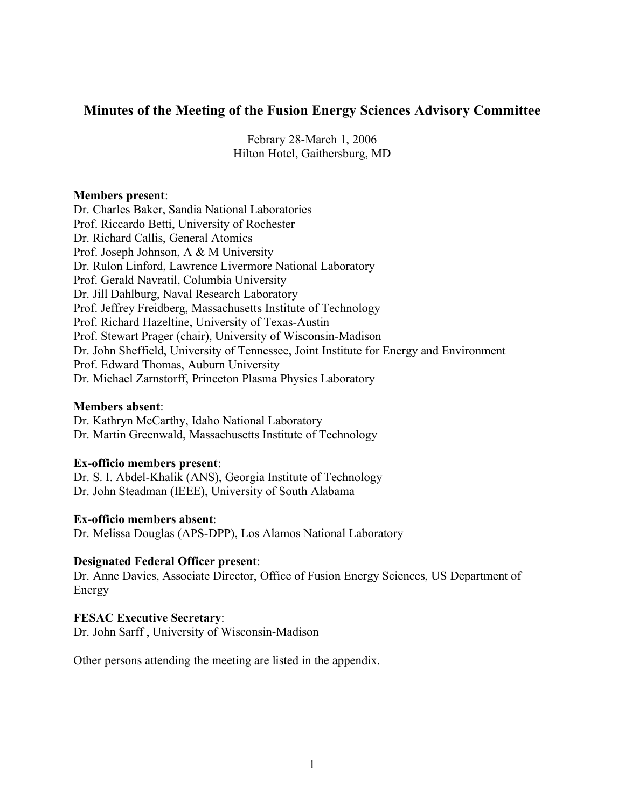# **Minutes of the Meeting of the Fusion Energy Sciences Advisory Committee**

Febrary 28-March 1, 2006 Hilton Hotel, Gaithersburg, MD

#### **Members present**:

Dr. Charles Baker, Sandia National Laboratories Prof. Riccardo Betti, University of Rochester Dr. Richard Callis, General Atomics Prof. Joseph Johnson, A & M University Dr. Rulon Linford, Lawrence Livermore National Laboratory Prof. Gerald Navratil, Columbia University Dr. Jill Dahlburg, Naval Research Laboratory Prof. Jeffrey Freidberg, Massachusetts Institute of Technology Prof. Richard Hazeltine, University of Texas-Austin Prof. Stewart Prager (chair), University of Wisconsin-Madison Dr. John Sheffield, University of Tennessee, Joint Institute for Energy and Environment Prof. Edward Thomas, Auburn University Dr. Michael Zarnstorff, Princeton Plasma Physics Laboratory

#### **Members absent**:

Dr. Kathryn McCarthy, Idaho National Laboratory Dr. Martin Greenwald, Massachusetts Institute of Technology

#### **Ex-officio members present**:

Dr. S. I. Abdel-Khalik (ANS), Georgia Institute of Technology Dr. John Steadman (IEEE), University of South Alabama

#### **Ex-officio members absent**:

Dr. Melissa Douglas (APS-DPP), Los Alamos National Laboratory

#### **Designated Federal Officer present**:

Dr. Anne Davies, Associate Director, Office of Fusion Energy Sciences, US Department of Energy

#### **FESAC Executive Secretary**:

Dr. John Sarff , University of Wisconsin-Madison

Other persons attending the meeting are listed in the appendix.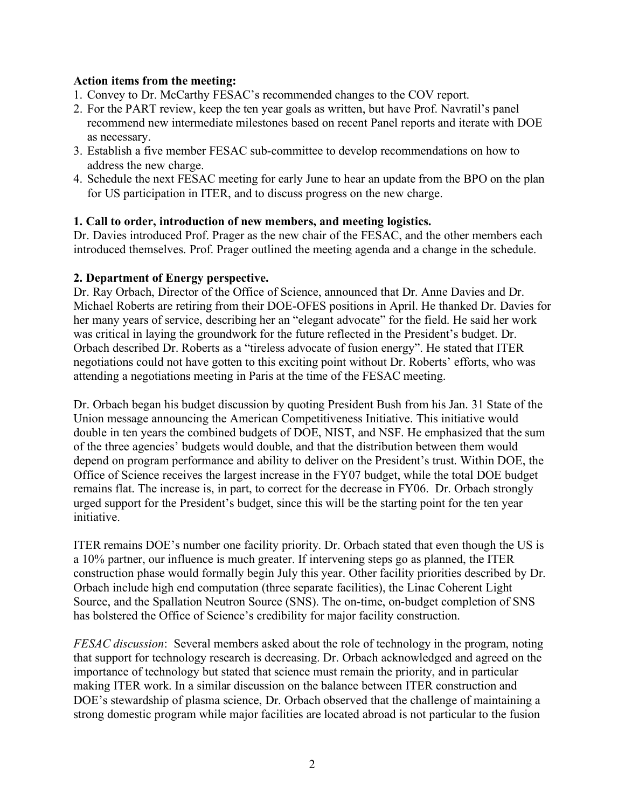### **Action items from the meeting:**

- 1. Convey to Dr. McCarthy FESAC's recommended changes to the COV report.
- 2. For the PART review, keep the ten year goals as written, but have Prof. Navratil's panel recommend new intermediate milestones based on recent Panel reports and iterate with DOE as necessary.
- 3. Establish a five member FESAC sub-committee to develop recommendations on how to address the new charge.
- 4. Schedule the next FESAC meeting for early June to hear an update from the BPO on the plan for US participation in ITER, and to discuss progress on the new charge.

### **1. Call to order, introduction of new members, and meeting logistics.**

Dr. Davies introduced Prof. Prager as the new chair of the FESAC, and the other members each introduced themselves. Prof. Prager outlined the meeting agenda and a change in the schedule.

### **2. Department of Energy perspective.**

Dr. Ray Orbach, Director of the Office of Science, announced that Dr. Anne Davies and Dr. Michael Roberts are retiring from their DOE-OFES positions in April. He thanked Dr. Davies for her many years of service, describing her an "elegant advocate" for the field. He said her work was critical in laying the groundwork for the future reflected in the President's budget. Dr. Orbach described Dr. Roberts as a "tireless advocate of fusion energy". He stated that ITER negotiations could not have gotten to this exciting point without Dr. Roberts' efforts, who was attending a negotiations meeting in Paris at the time of the FESAC meeting.

Dr. Orbach began his budget discussion by quoting President Bush from his Jan. 31 State of the Union message announcing the American Competitiveness Initiative. This initiative would double in ten years the combined budgets of DOE, NIST, and NSF. He emphasized that the sum of the three agencies' budgets would double, and that the distribution between them would depend on program performance and ability to deliver on the President's trust. Within DOE, the Office of Science receives the largest increase in the FY07 budget, while the total DOE budget remains flat. The increase is, in part, to correct for the decrease in FY06. Dr. Orbach strongly urged support for the President's budget, since this will be the starting point for the ten year initiative.

ITER remains DOE's number one facility priority. Dr. Orbach stated that even though the US is a 10% partner, our influence is much greater. If intervening steps go as planned, the ITER construction phase would formally begin July this year. Other facility priorities described by Dr. Orbach include high end computation (three separate facilities), the Linac Coherent Light Source, and the Spallation Neutron Source (SNS). The on-time, on-budget completion of SNS has bolstered the Office of Science's credibility for major facility construction.

*FESAC discussion*: Several members asked about the role of technology in the program, noting that support for technology research is decreasing. Dr. Orbach acknowledged and agreed on the importance of technology but stated that science must remain the priority, and in particular making ITER work. In a similar discussion on the balance between ITER construction and DOE's stewardship of plasma science, Dr. Orbach observed that the challenge of maintaining a strong domestic program while major facilities are located abroad is not particular to the fusion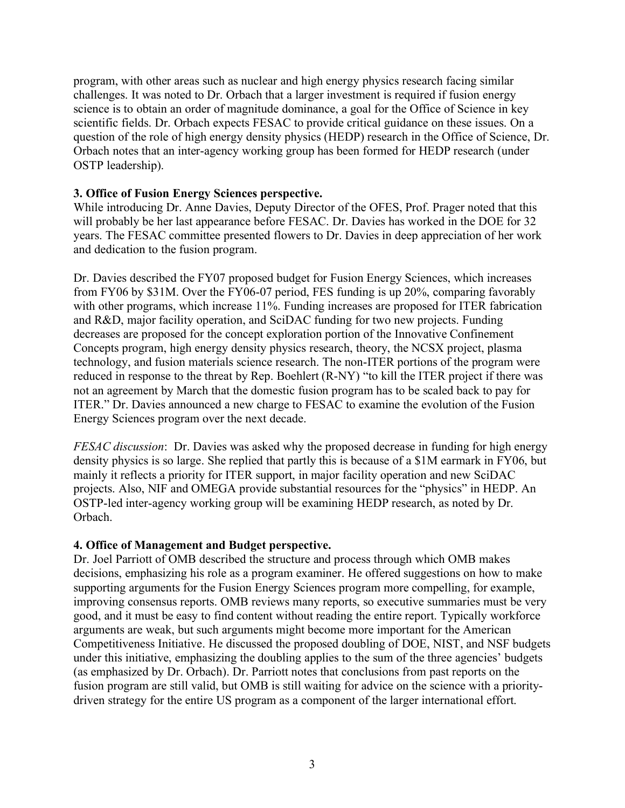program, with other areas such as nuclear and high energy physics research facing similar challenges. It was noted to Dr. Orbach that a larger investment is required if fusion energy science is to obtain an order of magnitude dominance, a goal for the Office of Science in key scientific fields. Dr. Orbach expects FESAC to provide critical guidance on these issues. On a question of the role of high energy density physics (HEDP) research in the Office of Science, Dr. Orbach notes that an inter-agency working group has been formed for HEDP research (under OSTP leadership).

### **3. Office of Fusion Energy Sciences perspective.**

While introducing Dr. Anne Davies, Deputy Director of the OFES, Prof. Prager noted that this will probably be her last appearance before FESAC. Dr. Davies has worked in the DOE for 32 years. The FESAC committee presented flowers to Dr. Davies in deep appreciation of her work and dedication to the fusion program.

Dr. Davies described the FY07 proposed budget for Fusion Energy Sciences, which increases from FY06 by \$31M. Over the FY06-07 period, FES funding is up 20%, comparing favorably with other programs, which increase 11%. Funding increases are proposed for ITER fabrication and R&D, major facility operation, and SciDAC funding for two new projects. Funding decreases are proposed for the concept exploration portion of the Innovative Confinement Concepts program, high energy density physics research, theory, the NCSX project, plasma technology, and fusion materials science research. The non-ITER portions of the program were reduced in response to the threat by Rep. Boehlert (R-NY) "to kill the ITER project if there was not an agreement by March that the domestic fusion program has to be scaled back to pay for ITER." Dr. Davies announced a new charge to FESAC to examine the evolution of the Fusion Energy Sciences program over the next decade.

*FESAC discussion*: Dr. Davies was asked why the proposed decrease in funding for high energy density physics is so large. She replied that partly this is because of a \$1M earmark in FY06, but mainly it reflects a priority for ITER support, in major facility operation and new SciDAC projects. Also, NIF and OMEGA provide substantial resources for the "physics" in HEDP. An OSTP-led inter-agency working group will be examining HEDP research, as noted by Dr. Orbach.

## **4. Office of Management and Budget perspective.**

Dr. Joel Parriott of OMB described the structure and process through which OMB makes decisions, emphasizing his role as a program examiner. He offered suggestions on how to make supporting arguments for the Fusion Energy Sciences program more compelling, for example, improving consensus reports. OMB reviews many reports, so executive summaries must be very good, and it must be easy to find content without reading the entire report. Typically workforce arguments are weak, but such arguments might become more important for the American Competitiveness Initiative. He discussed the proposed doubling of DOE, NIST, and NSF budgets under this initiative, emphasizing the doubling applies to the sum of the three agencies' budgets (as emphasized by Dr. Orbach). Dr. Parriott notes that conclusions from past reports on the fusion program are still valid, but OMB is still waiting for advice on the science with a prioritydriven strategy for the entire US program as a component of the larger international effort.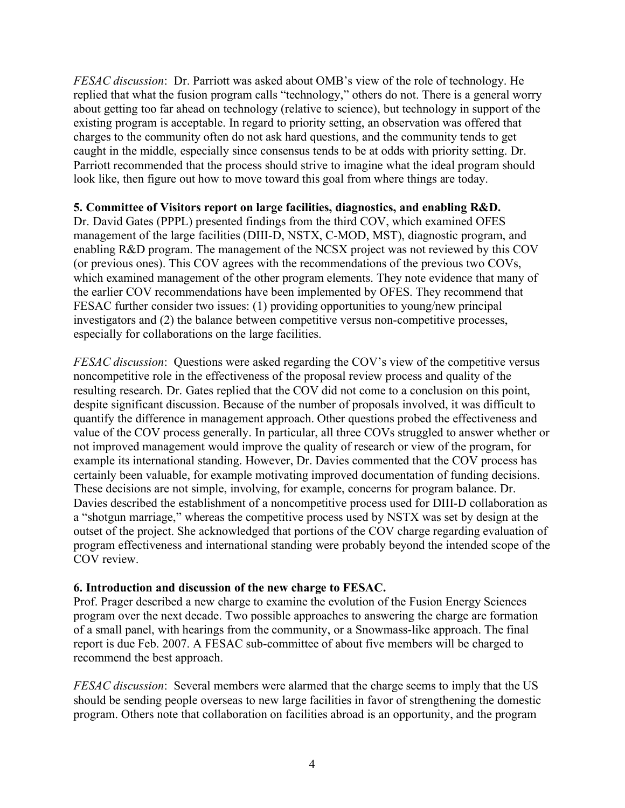*FESAC discussion*: Dr. Parriott was asked about OMB's view of the role of technology. He replied that what the fusion program calls "technology," others do not. There is a general worry about getting too far ahead on technology (relative to science), but technology in support of the existing program is acceptable. In regard to priority setting, an observation was offered that charges to the community often do not ask hard questions, and the community tends to get caught in the middle, especially since consensus tends to be at odds with priority setting. Dr. Parriott recommended that the process should strive to imagine what the ideal program should look like, then figure out how to move toward this goal from where things are today.

## **5. Committee of Visitors report on large facilities, diagnostics, and enabling R&D.**

Dr. David Gates (PPPL) presented findings from the third COV, which examined OFES management of the large facilities (DIII-D, NSTX, C-MOD, MST), diagnostic program, and enabling R&D program. The management of the NCSX project was not reviewed by this COV (or previous ones). This COV agrees with the recommendations of the previous two COVs, which examined management of the other program elements. They note evidence that many of the earlier COV recommendations have been implemented by OFES. They recommend that FESAC further consider two issues: (1) providing opportunities to young/new principal investigators and (2) the balance between competitive versus non-competitive processes, especially for collaborations on the large facilities.

*FESAC discussion*: Questions were asked regarding the COV's view of the competitive versus noncompetitive role in the effectiveness of the proposal review process and quality of the resulting research. Dr. Gates replied that the COV did not come to a conclusion on this point, despite significant discussion. Because of the number of proposals involved, it was difficult to quantify the difference in management approach. Other questions probed the effectiveness and value of the COV process generally. In particular, all three COVs struggled to answer whether or not improved management would improve the quality of research or view of the program, for example its international standing. However, Dr. Davies commented that the COV process has certainly been valuable, for example motivating improved documentation of funding decisions. These decisions are not simple, involving, for example, concerns for program balance. Dr. Davies described the establishment of a noncompetitive process used for DIII-D collaboration as a "shotgun marriage," whereas the competitive process used by NSTX was set by design at the outset of the project. She acknowledged that portions of the COV charge regarding evaluation of program effectiveness and international standing were probably beyond the intended scope of the COV review.

#### **6. Introduction and discussion of the new charge to FESAC.**

Prof. Prager described a new charge to examine the evolution of the Fusion Energy Sciences program over the next decade. Two possible approaches to answering the charge are formation of a small panel, with hearings from the community, or a Snowmass-like approach. The final report is due Feb. 2007. A FESAC sub-committee of about five members will be charged to recommend the best approach.

*FESAC discussion*: Several members were alarmed that the charge seems to imply that the US should be sending people overseas to new large facilities in favor of strengthening the domestic program. Others note that collaboration on facilities abroad is an opportunity, and the program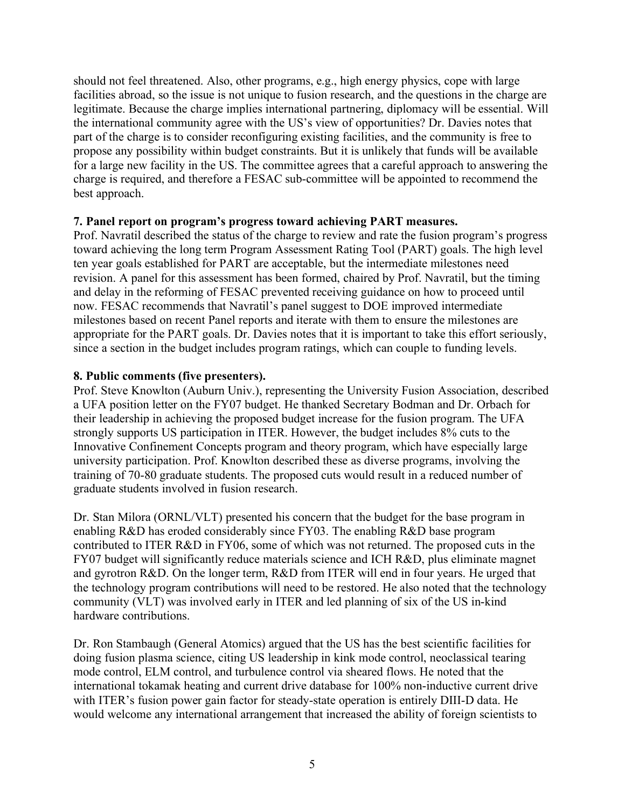should not feel threatened. Also, other programs, e.g., high energy physics, cope with large facilities abroad, so the issue is not unique to fusion research, and the questions in the charge are legitimate. Because the charge implies international partnering, diplomacy will be essential. Will the international community agree with the US's view of opportunities? Dr. Davies notes that part of the charge is to consider reconfiguring existing facilities, and the community is free to propose any possibility within budget constraints. But it is unlikely that funds will be available for a large new facility in the US. The committee agrees that a careful approach to answering the charge is required, and therefore a FESAC sub-committee will be appointed to recommend the best approach.

### **7. Panel report on program's progress toward achieving PART measures.**

Prof. Navratil described the status of the charge to review and rate the fusion program's progress toward achieving the long term Program Assessment Rating Tool (PART) goals. The high level ten year goals established for PART are acceptable, but the intermediate milestones need revision. A panel for this assessment has been formed, chaired by Prof. Navratil, but the timing and delay in the reforming of FESAC prevented receiving guidance on how to proceed until now. FESAC recommends that Navratil's panel suggest to DOE improved intermediate milestones based on recent Panel reports and iterate with them to ensure the milestones are appropriate for the PART goals. Dr. Davies notes that it is important to take this effort seriously, since a section in the budget includes program ratings, which can couple to funding levels.

## **8. Public comments (five presenters).**

Prof. Steve Knowlton (Auburn Univ.), representing the University Fusion Association, described a UFA position letter on the FY07 budget. He thanked Secretary Bodman and Dr. Orbach for their leadership in achieving the proposed budget increase for the fusion program. The UFA strongly supports US participation in ITER. However, the budget includes 8% cuts to the Innovative Confinement Concepts program and theory program, which have especially large university participation. Prof. Knowlton described these as diverse programs, involving the training of 70-80 graduate students. The proposed cuts would result in a reduced number of graduate students involved in fusion research.

Dr. Stan Milora (ORNL/VLT) presented his concern that the budget for the base program in enabling R&D has eroded considerably since FY03. The enabling R&D base program contributed to ITER R&D in FY06, some of which was not returned. The proposed cuts in the FY07 budget will significantly reduce materials science and ICH R&D, plus eliminate magnet and gyrotron R&D. On the longer term, R&D from ITER will end in four years. He urged that the technology program contributions will need to be restored. He also noted that the technology community (VLT) was involved early in ITER and led planning of six of the US in-kind hardware contributions.

Dr. Ron Stambaugh (General Atomics) argued that the US has the best scientific facilities for doing fusion plasma science, citing US leadership in kink mode control, neoclassical tearing mode control, ELM control, and turbulence control via sheared flows. He noted that the international tokamak heating and current drive database for 100% non-inductive current drive with ITER's fusion power gain factor for steady-state operation is entirely DIII-D data. He would welcome any international arrangement that increased the ability of foreign scientists to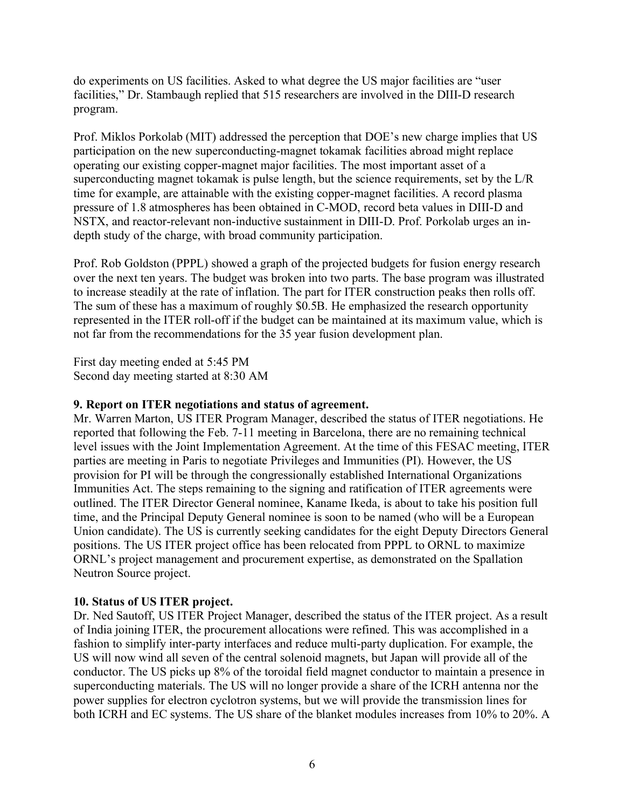do experiments on US facilities. Asked to what degree the US major facilities are "user facilities," Dr. Stambaugh replied that 515 researchers are involved in the DIII-D research program.

Prof. Miklos Porkolab (MIT) addressed the perception that DOE's new charge implies that US participation on the new superconducting-magnet tokamak facilities abroad might replace operating our existing copper-magnet major facilities. The most important asset of a superconducting magnet tokamak is pulse length, but the science requirements, set by the L/R time for example, are attainable with the existing copper-magnet facilities. A record plasma pressure of 1.8 atmospheres has been obtained in C-MOD, record beta values in DIII-D and NSTX, and reactor-relevant non-inductive sustainment in DIII-D. Prof. Porkolab urges an indepth study of the charge, with broad community participation.

Prof. Rob Goldston (PPPL) showed a graph of the projected budgets for fusion energy research over the next ten years. The budget was broken into two parts. The base program was illustrated to increase steadily at the rate of inflation. The part for ITER construction peaks then rolls off. The sum of these has a maximum of roughly \$0.5B. He emphasized the research opportunity represented in the ITER roll-off if the budget can be maintained at its maximum value, which is not far from the recommendations for the 35 year fusion development plan.

First day meeting ended at 5:45 PM Second day meeting started at 8:30 AM

### **9. Report on ITER negotiations and status of agreement.**

Mr. Warren Marton, US ITER Program Manager, described the status of ITER negotiations. He reported that following the Feb. 7-11 meeting in Barcelona, there are no remaining technical level issues with the Joint Implementation Agreement. At the time of this FESAC meeting, ITER parties are meeting in Paris to negotiate Privileges and Immunities (PI). However, the US provision for PI will be through the congressionally established International Organizations Immunities Act. The steps remaining to the signing and ratification of ITER agreements were outlined. The ITER Director General nominee, Kaname Ikeda, is about to take his position full time, and the Principal Deputy General nominee is soon to be named (who will be a European Union candidate). The US is currently seeking candidates for the eight Deputy Directors General positions. The US ITER project office has been relocated from PPPL to ORNL to maximize ORNL's project management and procurement expertise, as demonstrated on the Spallation Neutron Source project.

## **10. Status of US ITER project.**

Dr. Ned Sautoff, US ITER Project Manager, described the status of the ITER project. As a result of India joining ITER, the procurement allocations were refined. This was accomplished in a fashion to simplify inter-party interfaces and reduce multi-party duplication. For example, the US will now wind all seven of the central solenoid magnets, but Japan will provide all of the conductor. The US picks up 8% of the toroidal field magnet conductor to maintain a presence in superconducting materials. The US will no longer provide a share of the ICRH antenna nor the power supplies for electron cyclotron systems, but we will provide the transmission lines for both ICRH and EC systems. The US share of the blanket modules increases from 10% to 20%. A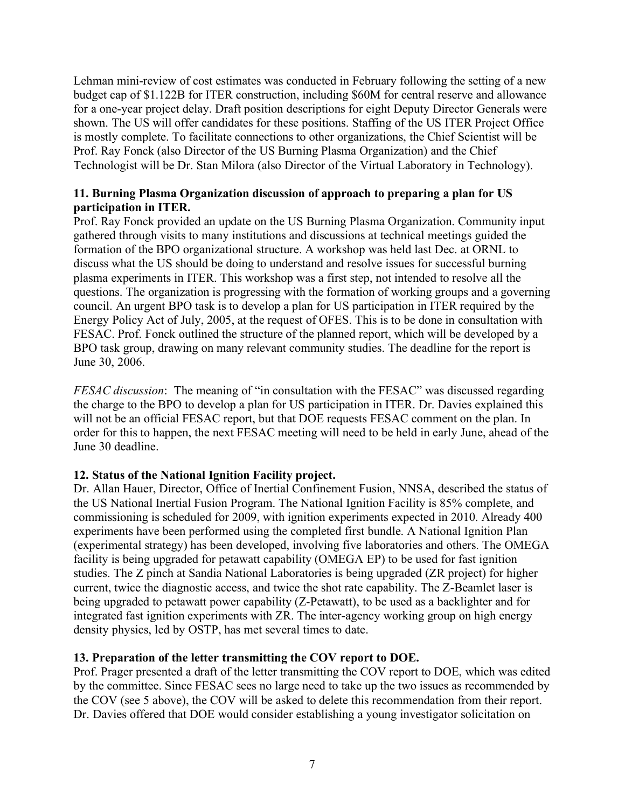Lehman mini-review of cost estimates was conducted in February following the setting of a new budget cap of \$1.122B for ITER construction, including \$60M for central reserve and allowance for a one-year project delay. Draft position descriptions for eight Deputy Director Generals were shown. The US will offer candidates for these positions. Staffing of the US ITER Project Office is mostly complete. To facilitate connections to other organizations, the Chief Scientist will be Prof. Ray Fonck (also Director of the US Burning Plasma Organization) and the Chief Technologist will be Dr. Stan Milora (also Director of the Virtual Laboratory in Technology).

## **11. Burning Plasma Organization discussion of approach to preparing a plan for US participation in ITER.**

Prof. Ray Fonck provided an update on the US Burning Plasma Organization. Community input gathered through visits to many institutions and discussions at technical meetings guided the formation of the BPO organizational structure. A workshop was held last Dec. at ORNL to discuss what the US should be doing to understand and resolve issues for successful burning plasma experiments in ITER. This workshop was a first step, not intended to resolve all the questions. The organization is progressing with the formation of working groups and a governing council. An urgent BPO task is to develop a plan for US participation in ITER required by the Energy Policy Act of July, 2005, at the request of OFES. This is to be done in consultation with FESAC. Prof. Fonck outlined the structure of the planned report, which will be developed by a BPO task group, drawing on many relevant community studies. The deadline for the report is June 30, 2006.

*FESAC discussion*: The meaning of "in consultation with the FESAC" was discussed regarding the charge to the BPO to develop a plan for US participation in ITER. Dr. Davies explained this will not be an official FESAC report, but that DOE requests FESAC comment on the plan. In order for this to happen, the next FESAC meeting will need to be held in early June, ahead of the June 30 deadline.

# **12. Status of the National Ignition Facility project.**

Dr. Allan Hauer, Director, Office of Inertial Confinement Fusion, NNSA, described the status of the US National Inertial Fusion Program. The National Ignition Facility is 85% complete, and commissioning is scheduled for 2009, with ignition experiments expected in 2010. Already 400 experiments have been performed using the completed first bundle. A National Ignition Plan (experimental strategy) has been developed, involving five laboratories and others. The OMEGA facility is being upgraded for petawatt capability (OMEGA EP) to be used for fast ignition studies. The Z pinch at Sandia National Laboratories is being upgraded (ZR project) for higher current, twice the diagnostic access, and twice the shot rate capability. The Z-Beamlet laser is being upgraded to petawatt power capability (Z-Petawatt), to be used as a backlighter and for integrated fast ignition experiments with ZR. The inter-agency working group on high energy density physics, led by OSTP, has met several times to date.

## **13. Preparation of the letter transmitting the COV report to DOE.**

Prof. Prager presented a draft of the letter transmitting the COV report to DOE, which was edited by the committee. Since FESAC sees no large need to take up the two issues as recommended by the COV (see 5 above), the COV will be asked to delete this recommendation from their report. Dr. Davies offered that DOE would consider establishing a young investigator solicitation on